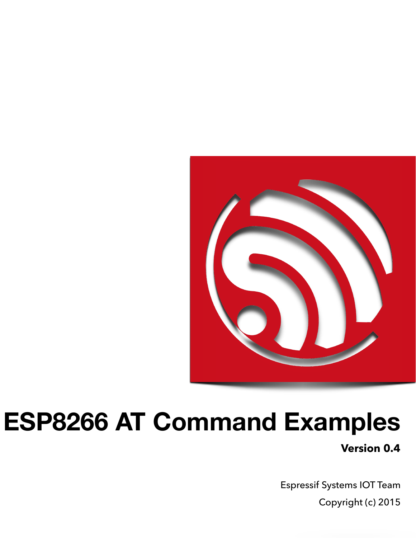

# **ESP8266 AT Command Examples**

**Version 0.4**

Espressif Systems IOT Team Copyright (c) 2015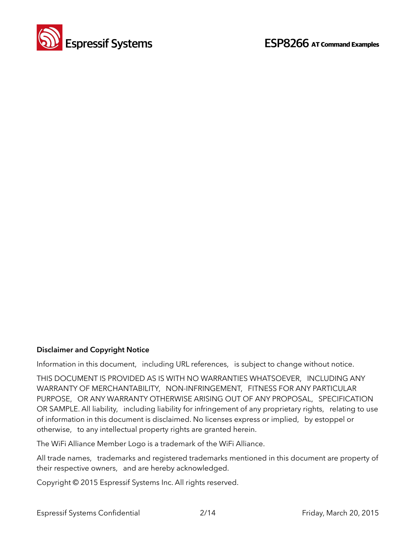

#### **Disclaimer and Copyright Notice**

Information in this document, including URL references, is subject to change without notice.

THIS DOCUMENT IS PROVIDED AS IS WITH NO WARRANTIES WHATSOEVER, INCLUDING ANY WARRANTY OF MERCHANTABILITY, NON-INFRINGEMENT, FITNESS FOR ANY PARTICULAR PURPOSE, OR ANY WARRANTY OTHERWISE ARISING OUT OF ANY PROPOSAL, SPECIFICATION OR SAMPLE. All liability, including liability for infringement of any proprietary rights, relating to use of information in this document is disclaimed. No licenses express or implied, by estoppel or otherwise, to any intellectual property rights are granted herein.

The WiFi Alliance Member Logo is a trademark of the WiFi Alliance.

All trade names, trademarks and registered trademarks mentioned in this document are property of their respective owners, and are hereby acknowledged.

Copyright © 2015 Espressif Systems Inc. All rights reserved.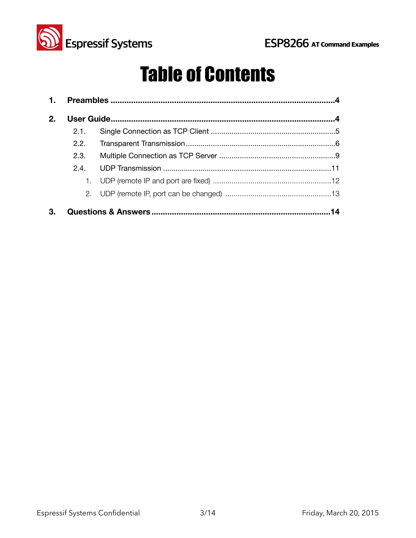

## Table of Contents

| 1. |      |    |
|----|------|----|
| 2. |      |    |
|    | 2.1. |    |
|    | 2.2. |    |
|    | 2.3. |    |
|    | 2.4  |    |
|    |      |    |
|    |      |    |
| З. |      | 14 |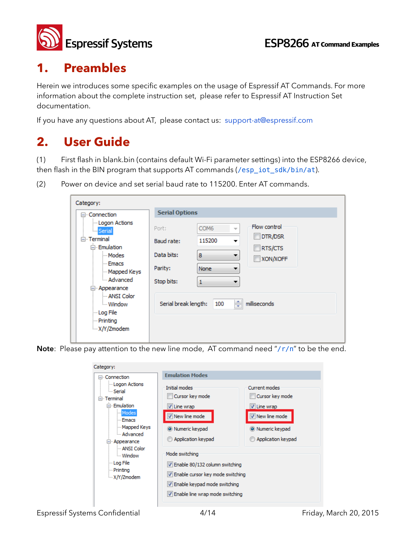

## **1. Preambles**

Herein we introduces some specific examples on the usage of Espressif AT Commands. For more information about the complete instruction set, please refer to Espressif AT Instruction Set documentation.

If you have any questions about AT, please contact us: [support-at@espressif.com](mailto:support-at@espressif.com) 

## **2. User Guide**

(1) First flash in blank.bin (contains default Wi-Fi parameter settings) into the ESP8266 device, then flash in the BIN program that supports AT commands (/esp\_iot\_sdk/bin/at).

(2) Power on device and set serial baud rate to 115200. Enter AT commands.

| Category:                                                                |                       |                                              |                    |
|--------------------------------------------------------------------------|-----------------------|----------------------------------------------|--------------------|
| ⊟ <sub>"</sub> Connection                                                | <b>Serial Options</b> |                                              |                    |
| - Logon Actions<br>illi <mark>i</mark> Serial <mark>i</mark>             | Port:                 | COM <sub>6</sub><br>$\overline{\phantom{a}}$ | Flow control       |
| ⊟ Terminal<br>□ Emulation                                                | Baud rate:            | 115200                                       | DTR/DSR<br>RTS/CTS |
| i Modes                                                                  | Data bits:            | 8                                            | XON/XOFF           |
| - Emacs<br>Mapped Keys                                                   | Parity:               | None                                         |                    |
| Advanced<br>⊟ <sub>"</sub> Appearance                                    | Stop bits:            | 1                                            |                    |
| - ANSI Color<br><b>Window</b><br>-- Log File<br>- Printing<br>X/Y/Zmodem | Serial break length:  | ÷<br>100                                     | milliseconds       |

Note: Please pay attention to the new line mode, AT command need "/r/n" to be the end.

| Category:<br>⊟- Connection                                                                                                                                                                                         | <b>Emulation Modes</b>                                                                                                                                                                                                                                                          |                                                                                                                     |
|--------------------------------------------------------------------------------------------------------------------------------------------------------------------------------------------------------------------|---------------------------------------------------------------------------------------------------------------------------------------------------------------------------------------------------------------------------------------------------------------------------------|---------------------------------------------------------------------------------------------------------------------|
| - Logon Actions<br><b>Serial</b><br>$\Box$ Terminal<br><b>Emulation</b><br>Modes<br>- Emacs<br>Mapped Keys<br>- Advanced<br>□ Appearance<br>- ANSI Color<br>- Window<br>lim Log File<br>- Printing<br>- X/Y/Zmodem | Initial modes<br>Cursor key mode<br>V Line wrap<br>V New line mode<br>O Numeric keypad<br>Application keypad<br>Mode switching<br>V Enable 80/132 column switching<br>V Enable cursor key mode switching<br>V Enable keypad mode switching<br>V Enable line wrap mode switching | <b>Current modes</b><br>Cursor key mode<br>V Line wrap<br>V New line mode<br>O Numeric keypad<br>Application keypad |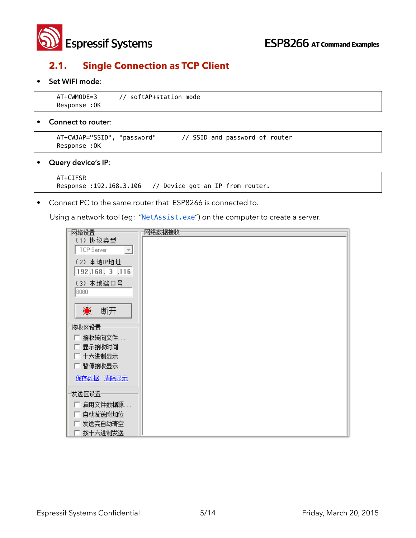

#### **2.1. Single Connection as TCP Client**

#### • **Set WiFi mode**:

```
 AT+CWMODE=3 // softAP+station mode 
Response :OK
```
#### • **Connect to router**:

```
 AT+CWJAP="SSID", "password" // SSID and password of router 
 Response :OK
```
• **Query device's IP**:

```
 AT+CIFSR 
 Response :192.168.3.106 // Device got an IP from router.
```
• Connect PC to the same router that ESP8266 is connected to.

Using a network tool (eg: "NetAssist.exe") on the computer to create a server.

| 网络设置                                               | 网络数据接收 |
|----------------------------------------------------|--------|
| (1) 协议类型<br>$\overline{\phantom{a}}$<br>TCP Server |        |
| (2) 本地IP地址<br>192.168.3.116                        |        |
| (3) 本地端口号<br>8080                                  |        |
| $\ddot{\bullet}$<br>断开                             |        |
| 接收区设置=                                             |        |
| □ 接收转向文件                                           |        |
| □ 显示接收时间                                           |        |
| □ 十六进制显示                                           |        |
| 厂 暂停接收显示                                           |        |
| 保存数据 清除显示                                          |        |
| 发送区设置                                              |        |
| □ 启用文件数据源                                          |        |
| 自动发送附加位                                            |        |
| 发送完自动清空<br>F.                                      |        |
| 按十六进制发送<br>L.                                      |        |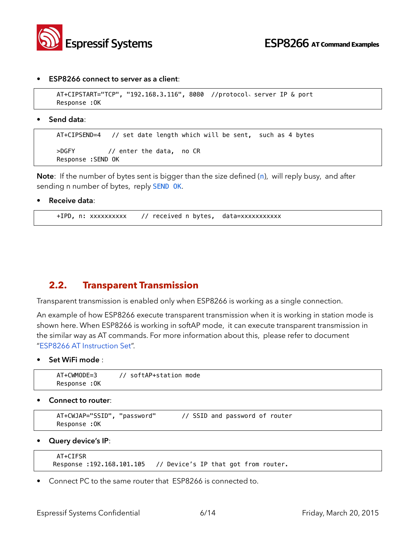

#### • **ESP8266 connect to server as a client**:

```
 AT+CIPSTART="TCP", "192.168.3.116", 8080 //protocol、server IP & port 
 Response :OK
```
**• Send data**:

```
 AT+CIPSEND=4 // set date length which will be sent, such as 4 bytes 
 >DGFY // enter the data, no CR 
 Response :SEND OK
```
**Note**: If the number of bytes sent is bigger than the size defined (n), will reply busy, and after sending n number of bytes, reply SEND OK.

• **Receive data**:

```
+IPD, n: xxxxxxxxxx // received n bytes, data=xxxxxxxxxxx
```
#### **2.2. Transparent Transmission**

Transparent transmission is enabled only when ESP8266 is working as a single connection.

An example of how ESP8266 execute transparent transmission when it is working in station mode is shown here. When ESP8266 is working in softAP mode, it can execute transparent transmission in the similar way as AT commands. For more information about this, please refer to document "ESP8266 AT Instruction Set".

• **Set WiFi mode** :

```
 AT+CWMODE=3 // softAP+station mode 
 Response :OK
```
• **Connect to router**:

```
 AT+CWJAP="SSID", "password" // SSID and password of router 
 Response :OK
```
• **Query device's IP**:

```
 AT+CIFSR 
Response :192.168.101.105 // Device's IP that got from router.
```
• Connect PC to the same router that ESP8266 is connected to.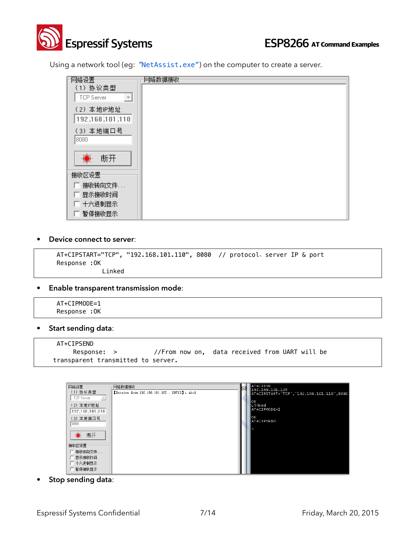

Using a network tool (eg: "NetAssist.exe") on the computer to create a server.

| 网络设置                                    | 网络数据接收 |
|-----------------------------------------|--------|
| (1) 协议类型<br>$\mathcal{P}$<br>TCP Server |        |
| (2) 本地IP地址<br>192.168.101.110           |        |
| (3) 本地端口号<br>8080                       |        |
| ◎ 断开                                    |        |
| 接收区设置                                   |        |
| 匚 接收转向文件                                |        |
| 匚 显示接收时间                                |        |
| 匚 十六进制显示                                |        |
| 匚 暂停接收显示                                |        |

#### • **Device connect to server**:

 AT+CIPSTART="TCP", "192.168.101.110", 8080 // protocol、server IP & port Response :OK Linked

• **Enable transparent transmission mode**:

| AT+CIPMODE=1  |  |
|---------------|--|
| Response : OK |  |

• **Start sending data**:

```
 AT+CIPSEND 
    Response: > //From now on, data received from UART will be
transparent transmitted to server.
```

| 网络设置                                   | 网络数据接收                                       | Юð | AT+CIFSR<br>192.168.101.105               |
|----------------------------------------|----------------------------------------------|----|-------------------------------------------|
| (1) 协议类型                               | KReceive from 192.168.101.105 : 29713]: abcd |    | AT+CIPSTART="TCP", "192.168.101.110",8080 |
| TCP Server<br>$\overline{\phantom{m}}$ |                                              |    |                                           |
| (2) 本地IP地址                             |                                              |    | lок<br>Linked                             |
| 192.168.101.110                        |                                              |    | AT+CIPMODE=1                              |
| (3) 本地端口号                              |                                              |    | lok.                                      |
| 8080                                   |                                              |    | AT+CIPSEND                                |
|                                        |                                              |    |                                           |
| $\ddot{\bullet}$ .<br>断开               |                                              |    |                                           |
|                                        |                                              |    |                                           |
| 接收区设置                                  |                                              |    |                                           |
| □ 接收转向文件                               |                                              |    |                                           |
| 显示接收时间                                 |                                              |    |                                           |
| □ 十六进制显示                               |                                              |    |                                           |
| 暂停接收显示                                 |                                              |    |                                           |

• **Stop sending data**: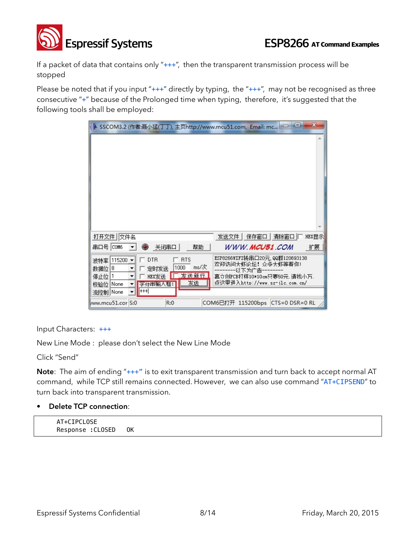

If a packet of data that contains only "+++", then the transparent transmission process will be stopped

Please be noted that if you input " $++$ " directly by typing, the " $++$ ", may not be recognised as three consecutive "+" because of the Prolonged time when typing, therefore, it's suggested that the following tools shall be employed:

| IL SSCOM3.2 (作者:聂小猛(丁丁), 主页http://www.mcu51.com, Email: mc □ □                                                                                                         | $\mathbf{x}$                                                                                                                     |
|------------------------------------------------------------------------------------------------------------------------------------------------------------------------|----------------------------------------------------------------------------------------------------------------------------------|
|                                                                                                                                                                        | ∸                                                                                                                                |
| 打开文件 文件名                                                                                                                                                               | 发送文件   保存窗口  <br>清除窗口<br>HEX显示                                                                                                   |
| 串口号   COM6<br>0<br>关闭串口<br>帮助                                                                                                                                          | WWW. <b>MCU51</b> .COM<br>扩展                                                                                                     |
| <b>RTS</b><br>波特率 115200<br><b>DTR</b><br>ms/次<br>1000<br>数据位<br>定时发送<br>18<br>发送新行<br><b>HEX发送</b><br>停止位<br>1<br>发送<br>字符串输入框:<br> None<br>校验位 <br>$+++$<br>流控制 None | ESP8266WIFI转串口20元,QQ群120693138<br>欢迎访问大虾论坛! 众多大虾等着你!<br>-以下为广告·<br>嘉立创PCB打样10*10cm只要50元, 请找小万.<br>点汶里讲入http://www.sz-jlc.com.cn/ |
| R:0<br>ww.mcu51.cor S:0                                                                                                                                                | COM6已打开 115200bps CTS=0 DSR=0 RL                                                                                                 |

Input Characters: +++

New Line Mode : please don't select the New Line Mode

Click "Send"

**Note**: The aim of ending "+++" is to exit transparent transmission and turn back to accept normal AT command, while TCP still remains connected. However, we can also use command "AT+CIPSEND" to turn back into transparent transmission.

#### • **Delete TCP connection**:

AT+CIPCLOSE Response :CLOSED OK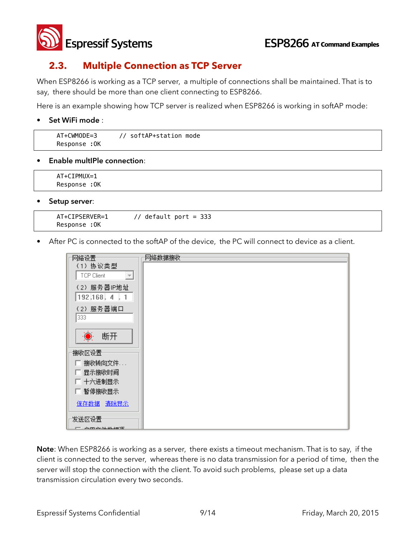

#### **2.3. Multiple Connection as TCP Server**

When ESP8266 is working as a TCP server, a multiple of connections shall be maintained. That is to say, there should be more than one client connecting to ESP8266.

Here is an example showing how TCP server is realized when ESP8266 is working in softAP mode:

#### • **Set WiFi mode** :

| $AT+CWMODF=3$   | softAP+station mode |
|-----------------|---------------------|
| :0K<br>Response |                     |

**• Enable multIPle connection**:

 AT+CIPMUX=1 Response :OK

• **Setup server**:

```
AT+CIPSERVER=1 // default port = 333 
Response :OK
```
• After PC is connected to the softAP of the device, the PC will connect to device as a client.

|                                        | 网络数据接收 |
|----------------------------------------|--------|
| (1) 协议类型                               |        |
| $\overline{\phantom{a}}$<br>TCP Client |        |
| (2) 服务器IP地址                            |        |
| 192.168.4.1                            |        |
| (2) 服务器端口                              |        |
| 333                                    |        |
|                                        |        |
| ◎ 断开                                   |        |
| 接收区设置一                                 |        |
| 匚 接收转向文件                               |        |
| 厂 显示接收时间                               |        |
| 厂 十六进制显示                               |        |
| □ 暂停接收显示                               |        |
| 保存数据 清除显示                              |        |
|                                        |        |
| 发送区设置                                  |        |
| 三、台页立体装板区                              |        |

**Note**: When ESP8266 is working as a server, there exists a timeout mechanism. That is to say, if the client is connected to the server, whereas there is no data transmission for a period of time, then the server will stop the connection with the client. To avoid such problems, please set up a data transmission circulation every two seconds.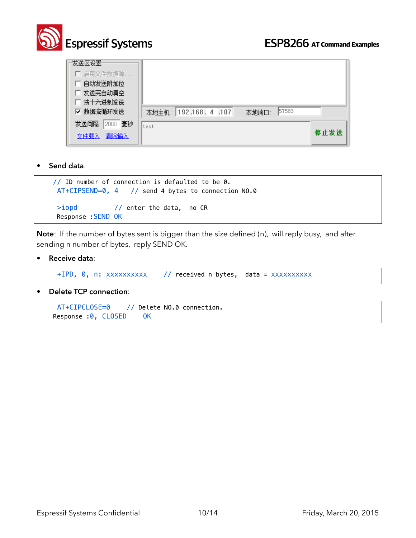

| 发送区设置<br>□ 启用文件数据源<br>自动发送附加位<br>发送完自动清空<br>匚 按十六进制发送<br>☑ 数据流循环发送 | 57583<br>本地主机: 192.168. 4 .107<br>本地端口: |      |
|--------------------------------------------------------------------|-----------------------------------------|------|
| 2000 毫秒<br>发送间隔<br>清除输入<br>文件载入                                    | ltest                                   | 停止发送 |

• **Send data**:

```
// ID number of connection is defaulted to be 0. 
 AT+CIPSEND=0, 4 // send 4 bytes to connection NO.0 
 >iopd // enter the data, no CR
 Response :SEND OK
```
**Note**: If the number of bytes sent is bigger than the size defined (n), will reply busy, and after sending n number of bytes, reply SEND OK.

• **Receive data**:

+IPD, 0, n: xxxxxxxxxx // received n bytes, data = xxxxxxxxxx

• **Delete TCP connection**:

```
 AT+CIPCLOSE=0 // Delete NO.0 connection. 
Response : 0, CLOSED OK
```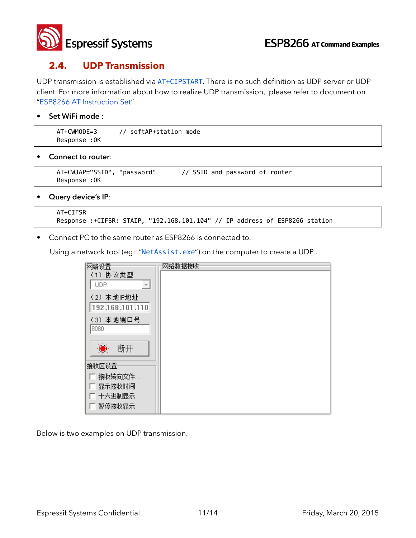

#### **2.4. UDP Transmission**

UDP transmission is established via AT+CIPSTART. There is no such definition as UDP server or UDP client. For more information about how to realize UDP transmission, please refer to document on "ESP8266 AT Instruction Set".

#### • **Set WiFi mode** :

| AT+CWMODE=3   | // softAP+station mode |
|---------------|------------------------|
| Response : OK |                        |

• **Connect to router**:

```
 AT+CWJAP="SSID", "password" // SSID and password of router 
 Response :OK
```
• **Query device's IP**:

```
 AT+CIFSR 
 Response :+CIFSR: STAIP, "192.168.101.104" // IP address of ESP8266 station
```
• Connect PC to the same router as ESP8266 is connected to.

Using a network tool (eg: "NetAssist.exe") on the computer to create a UDP.

| 网络设置                                   | 网络数据接收 |
|----------------------------------------|--------|
| (1) 协议类型                               |        |
| <b>UDP</b><br>$\overline{\mathcal{F}}$ |        |
| (2) 本地IP地址                             |        |
| 192.168.101.110                        |        |
| (3) 本地端口号                              |        |
| 8080                                   |        |
| Ò.<br>断开                               |        |
|                                        |        |
| 接收区设置                                  |        |
| 接收转向文件                                 |        |
| 显示接收时间                                 |        |
| 厂 十六进制显示                               |        |
| 暂停接收显示                                 |        |

Below is two examples on UDP transmission.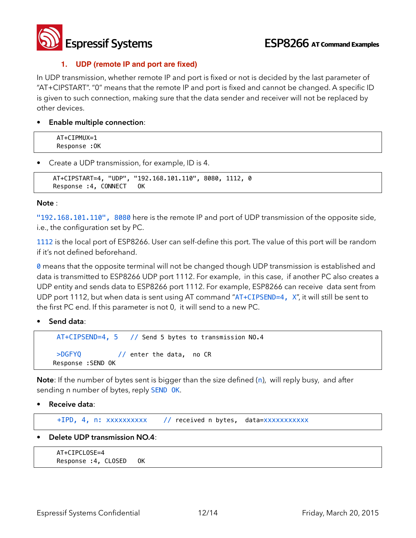

#### **1. UDP (remote IP and port are fixed)**

In UDP transmission, whether remote IP and port is fixed or not is decided by the last parameter of "AT+CIPSTART". "0" means that the remote IP and port is fixed and cannot be changed. A specific ID is given to such connection, making sure that the data sender and receiver will not be replaced by other devices.

• **Enable multiple connection**:

AT+CIPMUX=1 Response :OK

• Create a UDP transmission, for example, ID is 4.

```
AT+CIPSTART=4, "UDP", "192.168.101.110", 8080, 1112, 0 
Response :4, CONNECT OK
```
#### **Note** :

"192.168.101.110", 8080 here is the remote IP and port of UDP transmission of the opposite side, i.e., the configuration set by PC.

1112 is the local port of ESP8266. User can self-define this port. The value of this port will be random if it's not defined beforehand.

**0** means that the opposite terminal will not be changed though UDP transmission is established and data is transmitted to ESP8266 UDP port 1112. For example, in this case, if another PC also creates a UDP entity and sends data to ESP8266 port 1112. For example, ESP8266 can receive data sent from UDP port 1112, but when data is sent using AT command "AT+CIPSEND=4, X", it will still be sent to the first PC end. If this parameter is not 0, it will send to a new PC.

• **Send data**:

```
AT+CIPSEND=4, 5 // Send 5 bytes to transmission NO.4 
>DGFYQ // enter the data, no CR 
Response :SEND OK
```
**Note**: If the number of bytes sent is bigger than the size defined (n), will reply busy, and after sending n number of bytes, reply SEND OK.

• **Receive data**:

+IPD, 4, n: xxxxxxxxxx // received n bytes, data=xxxxxxxxxxx

• **Delete UDP transmission NO.4**:

```
 AT+CIPCLOSE=4 
Response :4, CLOSED OK
```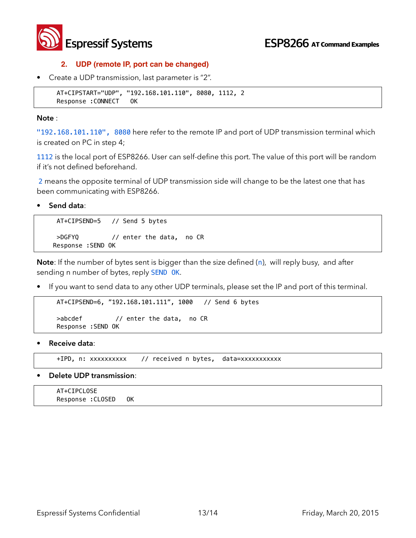

#### **2. UDP (remote IP, port can be changed)**

• Create a UDP transmission, last parameter is "2".

```
AT+CIPSTART="UDP", "192.168.101.110", 8080, 1112, 2 
Response :CONNECT OK
```
#### **Note** :

"192.168.101.110", 8080 here refer to the remote IP and port of UDP transmission terminal which is created on PC in step 4;

1112 is the local port of ESP8266. User can self-define this port. The value of this port will be random if it's not defined beforehand.

2 means the opposite terminal of UDP transmission side will change to be the latest one that has been communicating with ESP8266.

• **Send data**:

AT+CIPSEND=5 // Send 5 bytes >DGFYQ // enter the data, no CR Response :SEND OK

**Note**: If the number of bytes sent is bigger than the size defined (n), will reply busy, and after sending n number of bytes, reply SEND OK.

• If you want to send data to any other UDP terminals, please set the IP and port of this terminal.

```
AT+CIPSEND=6, "192.168.101.111", 1000 // Send 6 bytes 
>abcdef // enter the data, no CR 
Response :SEND OK
```
• **Receive data**:

+IPD, n: xxxxxxxxxx // received n bytes, data=xxxxxxxxxxx

• **Delete UDP transmission**:

 AT+CIPCLOSE Response :CLOSED OK